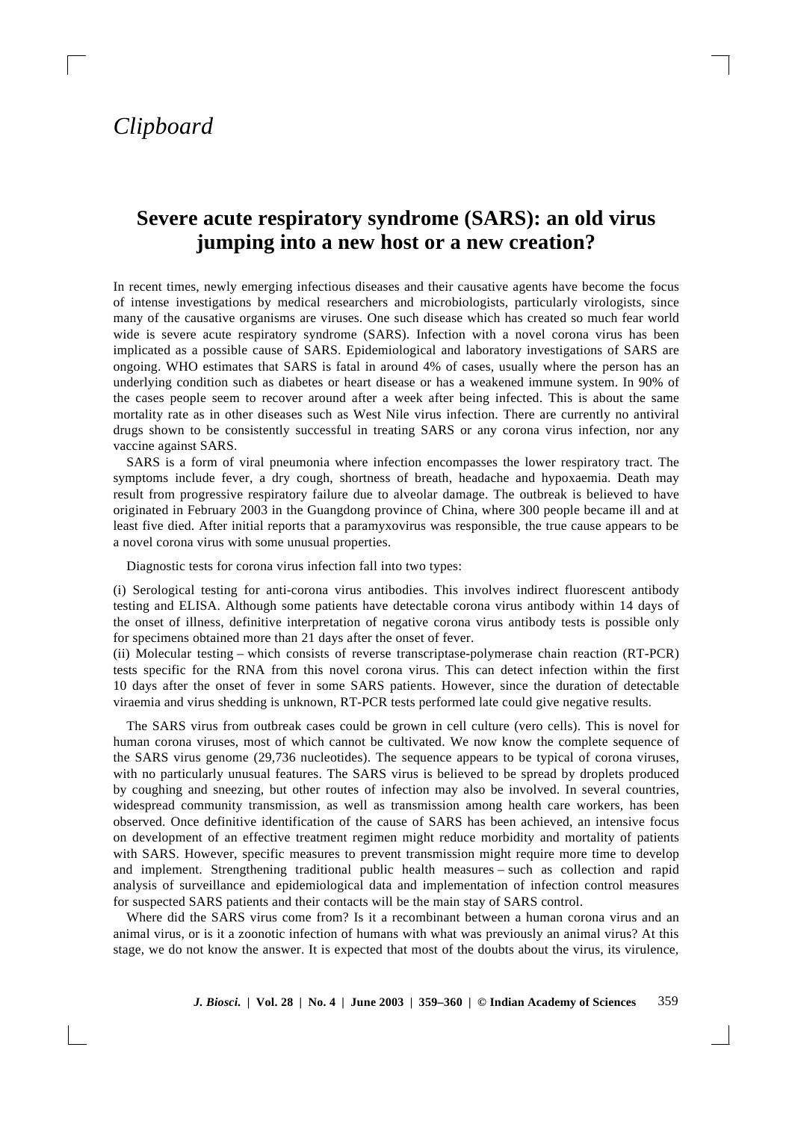## *Clipboard*

## **Severe acute respiratory syndrome (SARS): an old virus jumping into a new host or a new creation?**

In recent times, newly emerging infectious diseases and their causative agents have become the focus of intense investigations by medical researchers and microbiologists, particularly virologists, since many of the causative organisms are viruses. One such disease which has created so much fear world wide is severe acute respiratory syndrome (SARS). Infection with a novel corona virus has been implicated as a possible cause of SARS. Epidemiological and laboratory investigations of SARS are ongoing. WHO estimates that SARS is fatal in around 4% of cases, usually where the person has an underlying condition such as diabetes or heart disease or has a weakened immune system. In 90% of the cases people seem to recover around after a week after being infected. This is about the same mortality rate as in other diseases such as West Nile virus infection. There are currently no antiviral drugs shown to be consistently successful in treating SARS or any corona virus infection, nor any vaccine against SARS.

SARS is a form of viral pneumonia where infection encompasses the lower respiratory tract. The symptoms include fever, a dry cough, shortness of breath, headache and hypoxaemia. Death may result from progressive respiratory failure due to alveolar damage. The outbreak is believed to have originated in February 2003 in the Guangdong province of China, where 300 people became ill and at least five died. After initial reports that a paramyxovirus was responsible, the true cause appears to be a novel corona virus with some unusual properties.

Diagnostic tests for corona virus infection fall into two types:

(i) Serological testing for anti-corona virus antibodies. This involves indirect fluorescent antibody testing and ELISA. Although some patients have detectable corona virus antibody within 14 days of the onset of illness, definitive interpretation of negative corona virus antibody tests is possible only for specimens obtained more than 21 days after the onset of fever.

(ii) Molecular testing – which consists of reverse transcriptase-polymerase chain reaction (RT-PCR) tests specific for the RNA from this novel corona virus. This can detect infection within the first 10 days after the onset of fever in some SARS patients. However, since the duration of detectable viraemia and virus shedding is unknown, RT-PCR tests performed late could give negative results.

The SARS virus from outbreak cases could be grown in cell culture (vero cells). This is novel for human corona viruses, most of which cannot be cultivated. We now know the complete sequence of the SARS virus genome (29,736 nucleotides). The sequence appears to be typical of corona viruses, with no particularly unusual features. The SARS virus is believed to be spread by droplets produced by coughing and sneezing, but other routes of infection may also be involved. In several countries, widespread community transmission, as well as transmission among health care workers, has been observed. Once definitive identification of the cause of SARS has been achieved, an intensive focus on development of an effective treatment regimen might reduce morbidity and mortality of patients with SARS. However, specific measures to prevent transmission might require more time to develop and implement. Strengthening traditional public health measures – such as collection and rapid analysis of surveillance and epidemiological data and implementation of infection control measures for suspected SARS patients and their contacts will be the main stay of SARS control.

Where did the SARS virus come from? Is it a recombinant between a human corona virus and an animal virus, or is it a zoonotic infection of humans with what was previously an animal virus? At this stage, we do not know the answer. It is expected that most of the doubts about the virus, its virulence,